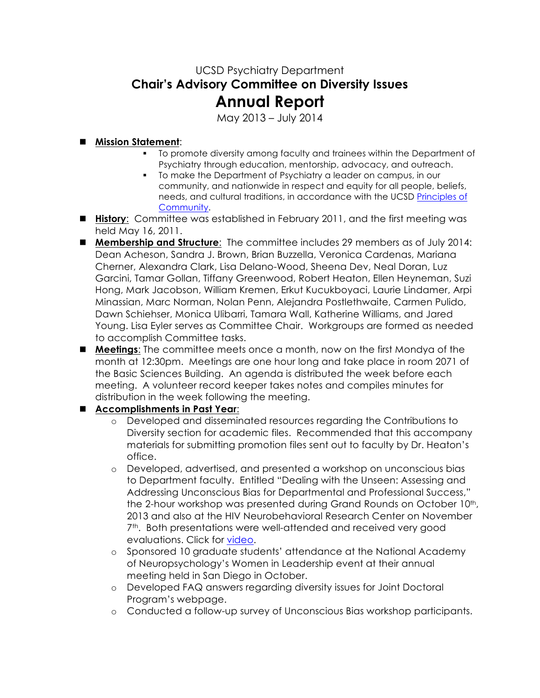## UCSD Psychiatry Department **Chair's Advisory Committee on Diversity Issues Annual Report**

May 2013 – July 2014

## ! **Mission Statement**:

- " To promote diversity among faculty and trainees within the Department of Psychiatry through education, mentorship, advocacy, and outreach.
- " To make the Department of Psychiatry a leader on campus, in our community, and nationwide in respect and equity for all people, beliefs, needs, and cultural traditions, in accordance with the UCSD Principles of Community.
- ! **History**: Committee was established in February 2011, and the first meeting was held May 16, 2011.
- ! **Membership and Structure**: The committee includes 29 members as of July 2014: Dean Acheson, Sandra J. Brown, Brian Buzzella, Veronica Cardenas, Mariana Cherner, Alexandra Clark, Lisa Delano-Wood, Sheena Dev, Neal Doran, Luz Garcini, Tamar Gollan, Tiffany Greenwood, Robert Heaton, Ellen Heyneman, Suzi Hong, Mark Jacobson, William Kremen, Erkut Kucukboyaci, Laurie Lindamer, Arpi Minassian, Marc Norman, Nolan Penn, Alejandra Postlethwaite, Carmen Pulido, Dawn Schiehser, Monica Ulibarri, Tamara Wall, Katherine Williams, and Jared Young. Lisa Eyler serves as Committee Chair. Workgroups are formed as needed to accomplish Committee tasks.
- ! **Meetings**: The committee meets once a month, now on the first Mondya of the month at 12:30pm. Meetings are one hour long and take place in room 2071 of the Basic Sciences Building. An agenda is distributed the week before each meeting. A volunteer record keeper takes notes and compiles minutes for distribution in the week following the meeting.

## ! **Accomplishments in Past Year**:

- o Developed and disseminated resources regarding the Contributions to Diversity section for academic files. Recommended that this accompany materials for submitting promotion files sent out to faculty by Dr. Heaton's office.
- o Developed, advertised, and presented a workshop on unconscious bias to Department faculty. Entitled "Dealing with the Unseen: Assessing and Addressing Unconscious Bias for Departmental and Professional Success," the 2-hour workshop was presented during Grand Rounds on October 10<sup>th</sup>, 2013 and also at the HIV Neurobehavioral Research Center on November 7<sup>th</sup>. Both presentations were well-attended and received very good evaluations. Click for video.
- o Sponsored 10 graduate students' attendance at the National Academy of Neuropsychology's Women in Leadership event at their annual meeting held in San Diego in October.
- o Developed FAQ answers regarding diversity issues for Joint Doctoral Program's webpage.
- o Conducted a follow-up survey of Unconscious Bias workshop participants.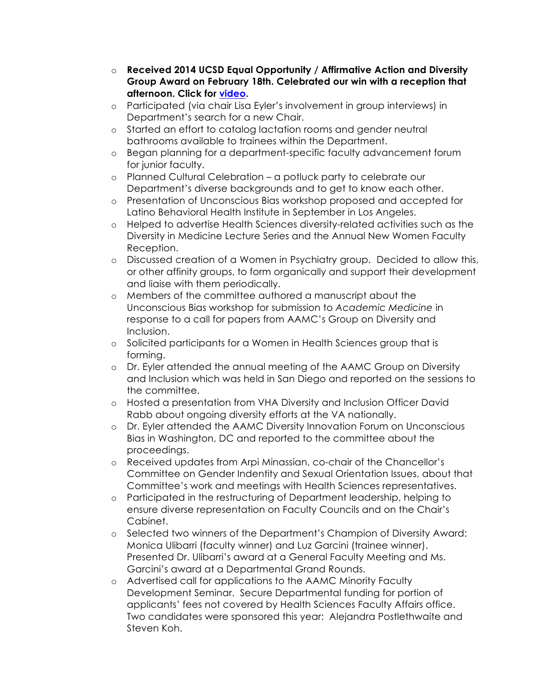- o **Received 2014 UCSD Equal Opportunity / Affirmative Action and Diversity Group Award on February 18th. Celebrated our win with a reception that afternoon. Click for video.**
- o Participated (via chair Lisa Eyler's involvement in group interviews) in Department's search for a new Chair.
- o Started an effort to catalog lactation rooms and gender neutral bathrooms available to trainees within the Department.
- o Began planning for a department-specific faculty advancement forum for junior faculty.
- o Planned Cultural Celebration a potluck party to celebrate our Department's diverse backgrounds and to get to know each other.
- o Presentation of Unconscious Bias workshop proposed and accepted for Latino Behavioral Health Institute in September in Los Angeles.
- o Helped to advertise Health Sciences diversity-related activities such as the Diversity in Medicine Lecture Series and the Annual New Women Faculty Reception.
- o Discussed creation of a Women in Psychiatry group. Decided to allow this, or other affinity groups, to form organically and support their development and liaise with them periodically.
- o Members of the committee authored a manuscript about the Unconscious Bias workshop for submission to *Academic Medicine* in response to a call for papers from AAMC's Group on Diversity and Inclusion.
- o Solicited participants for a Women in Health Sciences group that is forming.
- o Dr. Eyler attended the annual meeting of the AAMC Group on Diversity and Inclusion which was held in San Diego and reported on the sessions to the committee.
- o Hosted a presentation from VHA Diversity and Inclusion Officer David Rabb about ongoing diversity efforts at the VA nationally.
- o Dr. Eyler attended the AAMC Diversity Innovation Forum on Unconscious Bias in Washington, DC and reported to the committee about the proceedings.
- o Received updates from Arpi Minassian, co-chair of the Chancellor's Committee on Gender Indentity and Sexual Orientation Issues, about that Committee's work and meetings with Health Sciences representatives.
- o Participated in the restructuring of Department leadership, helping to ensure diverse representation on Faculty Councils and on the Chair's Cabinet.
- o Selected two winners of the Department's Champion of Diversity Award: Monica Ulibarri (faculty winner) and Luz Garcini (trainee winner). Presented Dr. Ulibarri's award at a General Faculty Meeting and Ms. Garcini's award at a Departmental Grand Rounds.
- o Advertised call for applications to the AAMC Minority Faculty Development Seminar. Secure Departmental funding for portion of applicants' fees not covered by Health Sciences Faculty Affairs office. Two candidates were sponsored this year: Alejandra Postlethwaite and Steven Koh.